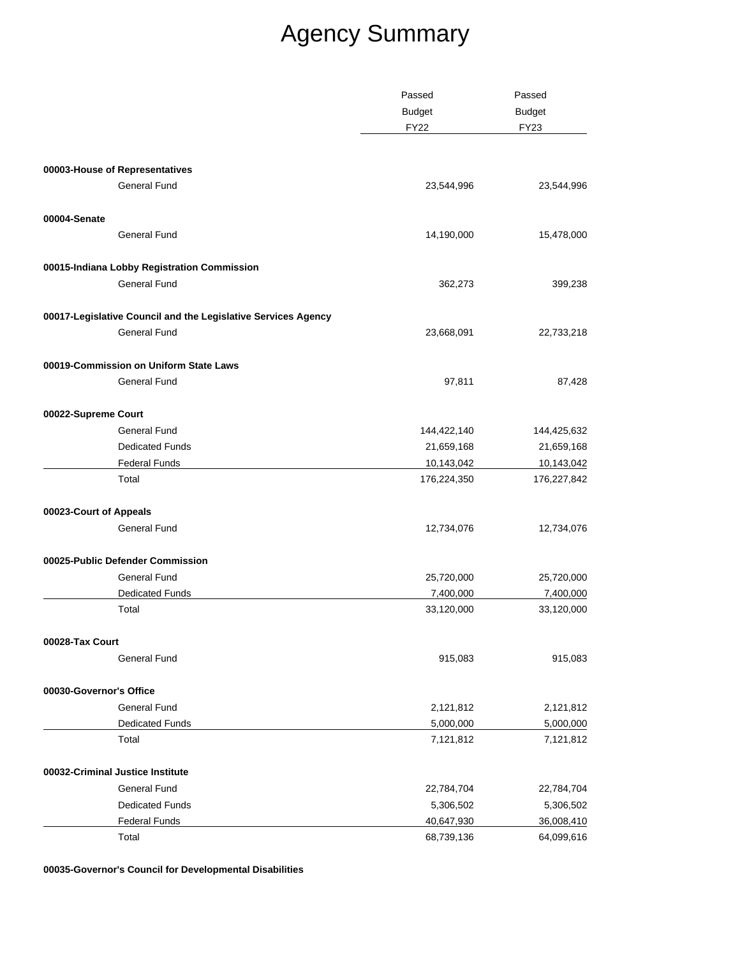| <b>Budget</b><br><b>Budget</b><br><b>FY23</b><br><b>FY22</b><br>00003-House of Representatives<br><b>General Fund</b><br>23,544,996<br>00004-Senate<br><b>General Fund</b><br>14,190,000<br>00015-Indiana Lobby Registration Commission<br>General Fund<br>362,273<br>00017-Legislative Council and the Legislative Services Agency<br><b>General Fund</b><br>23,668,091<br>00019-Commission on Uniform State Laws<br><b>General Fund</b><br>97,811<br>00022-Supreme Court<br><b>General Fund</b><br>144,422,140<br>144,425,632<br><b>Dedicated Funds</b><br>21,659,168<br>21,659,168<br><b>Federal Funds</b><br>10,143,042<br>10,143,042<br>Total<br>176,224,350<br>00023-Court of Appeals<br>General Fund<br>12,734,076<br>00025-Public Defender Commission<br>General Fund<br>25,720,000<br>25,720,000<br>Dedicated Funds<br>7,400,000<br>7,400,000<br>Total<br>33,120,000<br>00028-Tax Court<br>915,083<br>General Fund<br>00030-Governor's Office<br><b>General Fund</b><br>2,121,812<br>2,121,812<br>Dedicated Funds<br>5,000,000<br>5,000,000<br>Total<br>7,121,812<br>00032-Criminal Justice Institute<br>General Fund<br>22,784,704<br><b>Dedicated Funds</b><br>5,306,502<br><b>Federal Funds</b><br>40,647,930<br>Total<br>68,739,136 | Passed | Passed      |
|--------------------------------------------------------------------------------------------------------------------------------------------------------------------------------------------------------------------------------------------------------------------------------------------------------------------------------------------------------------------------------------------------------------------------------------------------------------------------------------------------------------------------------------------------------------------------------------------------------------------------------------------------------------------------------------------------------------------------------------------------------------------------------------------------------------------------------------------------------------------------------------------------------------------------------------------------------------------------------------------------------------------------------------------------------------------------------------------------------------------------------------------------------------------------------------------------------------------------------------------------|--------|-------------|
|                                                                                                                                                                                                                                                                                                                                                                                                                                                                                                                                                                                                                                                                                                                                                                                                                                                                                                                                                                                                                                                                                                                                                                                                                                                  |        |             |
|                                                                                                                                                                                                                                                                                                                                                                                                                                                                                                                                                                                                                                                                                                                                                                                                                                                                                                                                                                                                                                                                                                                                                                                                                                                  |        |             |
|                                                                                                                                                                                                                                                                                                                                                                                                                                                                                                                                                                                                                                                                                                                                                                                                                                                                                                                                                                                                                                                                                                                                                                                                                                                  |        |             |
|                                                                                                                                                                                                                                                                                                                                                                                                                                                                                                                                                                                                                                                                                                                                                                                                                                                                                                                                                                                                                                                                                                                                                                                                                                                  |        |             |
|                                                                                                                                                                                                                                                                                                                                                                                                                                                                                                                                                                                                                                                                                                                                                                                                                                                                                                                                                                                                                                                                                                                                                                                                                                                  |        | 23,544,996  |
|                                                                                                                                                                                                                                                                                                                                                                                                                                                                                                                                                                                                                                                                                                                                                                                                                                                                                                                                                                                                                                                                                                                                                                                                                                                  |        |             |
|                                                                                                                                                                                                                                                                                                                                                                                                                                                                                                                                                                                                                                                                                                                                                                                                                                                                                                                                                                                                                                                                                                                                                                                                                                                  |        | 15,478,000  |
|                                                                                                                                                                                                                                                                                                                                                                                                                                                                                                                                                                                                                                                                                                                                                                                                                                                                                                                                                                                                                                                                                                                                                                                                                                                  |        |             |
|                                                                                                                                                                                                                                                                                                                                                                                                                                                                                                                                                                                                                                                                                                                                                                                                                                                                                                                                                                                                                                                                                                                                                                                                                                                  |        | 399,238     |
|                                                                                                                                                                                                                                                                                                                                                                                                                                                                                                                                                                                                                                                                                                                                                                                                                                                                                                                                                                                                                                                                                                                                                                                                                                                  |        |             |
|                                                                                                                                                                                                                                                                                                                                                                                                                                                                                                                                                                                                                                                                                                                                                                                                                                                                                                                                                                                                                                                                                                                                                                                                                                                  |        | 22,733,218  |
|                                                                                                                                                                                                                                                                                                                                                                                                                                                                                                                                                                                                                                                                                                                                                                                                                                                                                                                                                                                                                                                                                                                                                                                                                                                  |        |             |
|                                                                                                                                                                                                                                                                                                                                                                                                                                                                                                                                                                                                                                                                                                                                                                                                                                                                                                                                                                                                                                                                                                                                                                                                                                                  |        | 87,428      |
|                                                                                                                                                                                                                                                                                                                                                                                                                                                                                                                                                                                                                                                                                                                                                                                                                                                                                                                                                                                                                                                                                                                                                                                                                                                  |        |             |
|                                                                                                                                                                                                                                                                                                                                                                                                                                                                                                                                                                                                                                                                                                                                                                                                                                                                                                                                                                                                                                                                                                                                                                                                                                                  |        |             |
|                                                                                                                                                                                                                                                                                                                                                                                                                                                                                                                                                                                                                                                                                                                                                                                                                                                                                                                                                                                                                                                                                                                                                                                                                                                  |        |             |
|                                                                                                                                                                                                                                                                                                                                                                                                                                                                                                                                                                                                                                                                                                                                                                                                                                                                                                                                                                                                                                                                                                                                                                                                                                                  |        |             |
|                                                                                                                                                                                                                                                                                                                                                                                                                                                                                                                                                                                                                                                                                                                                                                                                                                                                                                                                                                                                                                                                                                                                                                                                                                                  |        | 176,227,842 |
|                                                                                                                                                                                                                                                                                                                                                                                                                                                                                                                                                                                                                                                                                                                                                                                                                                                                                                                                                                                                                                                                                                                                                                                                                                                  |        |             |
|                                                                                                                                                                                                                                                                                                                                                                                                                                                                                                                                                                                                                                                                                                                                                                                                                                                                                                                                                                                                                                                                                                                                                                                                                                                  |        | 12,734,076  |
|                                                                                                                                                                                                                                                                                                                                                                                                                                                                                                                                                                                                                                                                                                                                                                                                                                                                                                                                                                                                                                                                                                                                                                                                                                                  |        |             |
|                                                                                                                                                                                                                                                                                                                                                                                                                                                                                                                                                                                                                                                                                                                                                                                                                                                                                                                                                                                                                                                                                                                                                                                                                                                  |        |             |
|                                                                                                                                                                                                                                                                                                                                                                                                                                                                                                                                                                                                                                                                                                                                                                                                                                                                                                                                                                                                                                                                                                                                                                                                                                                  |        |             |
|                                                                                                                                                                                                                                                                                                                                                                                                                                                                                                                                                                                                                                                                                                                                                                                                                                                                                                                                                                                                                                                                                                                                                                                                                                                  |        | 33,120,000  |
|                                                                                                                                                                                                                                                                                                                                                                                                                                                                                                                                                                                                                                                                                                                                                                                                                                                                                                                                                                                                                                                                                                                                                                                                                                                  |        |             |
|                                                                                                                                                                                                                                                                                                                                                                                                                                                                                                                                                                                                                                                                                                                                                                                                                                                                                                                                                                                                                                                                                                                                                                                                                                                  |        | 915,083     |
|                                                                                                                                                                                                                                                                                                                                                                                                                                                                                                                                                                                                                                                                                                                                                                                                                                                                                                                                                                                                                                                                                                                                                                                                                                                  |        |             |
|                                                                                                                                                                                                                                                                                                                                                                                                                                                                                                                                                                                                                                                                                                                                                                                                                                                                                                                                                                                                                                                                                                                                                                                                                                                  |        |             |
|                                                                                                                                                                                                                                                                                                                                                                                                                                                                                                                                                                                                                                                                                                                                                                                                                                                                                                                                                                                                                                                                                                                                                                                                                                                  |        |             |
|                                                                                                                                                                                                                                                                                                                                                                                                                                                                                                                                                                                                                                                                                                                                                                                                                                                                                                                                                                                                                                                                                                                                                                                                                                                  |        | 7,121,812   |
|                                                                                                                                                                                                                                                                                                                                                                                                                                                                                                                                                                                                                                                                                                                                                                                                                                                                                                                                                                                                                                                                                                                                                                                                                                                  |        |             |
|                                                                                                                                                                                                                                                                                                                                                                                                                                                                                                                                                                                                                                                                                                                                                                                                                                                                                                                                                                                                                                                                                                                                                                                                                                                  |        | 22,784,704  |
|                                                                                                                                                                                                                                                                                                                                                                                                                                                                                                                                                                                                                                                                                                                                                                                                                                                                                                                                                                                                                                                                                                                                                                                                                                                  |        | 5,306,502   |
|                                                                                                                                                                                                                                                                                                                                                                                                                                                                                                                                                                                                                                                                                                                                                                                                                                                                                                                                                                                                                                                                                                                                                                                                                                                  |        | 36,008,410  |
|                                                                                                                                                                                                                                                                                                                                                                                                                                                                                                                                                                                                                                                                                                                                                                                                                                                                                                                                                                                                                                                                                                                                                                                                                                                  |        | 64,099,616  |

**00035-Governor's Council for Developmental Disabilities**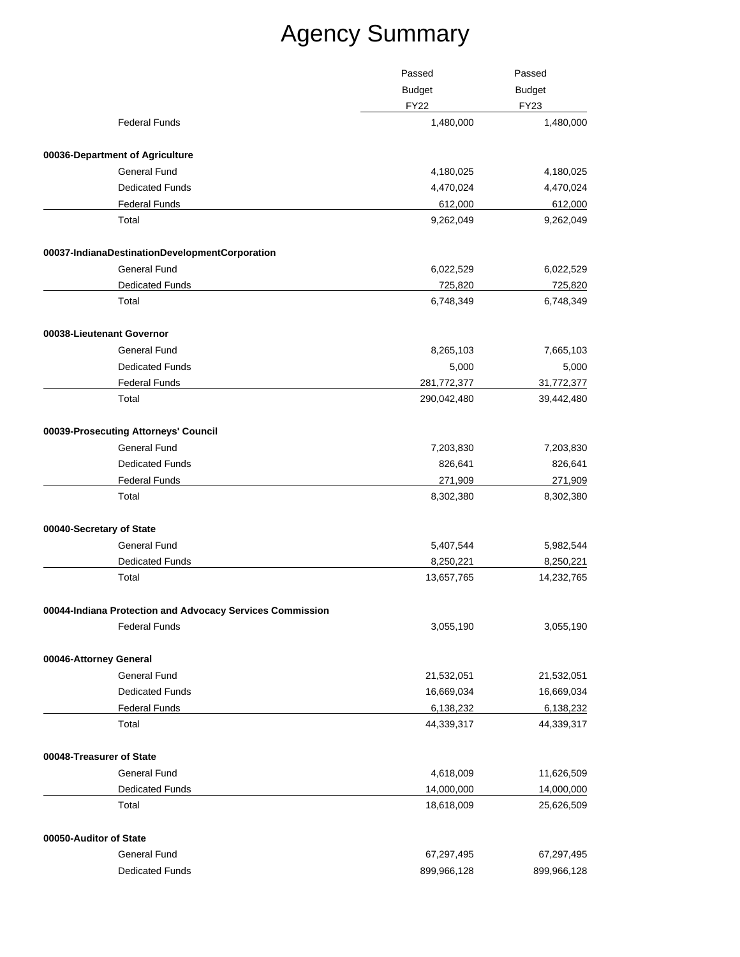|                                                           | Passed                       | Passed                       |
|-----------------------------------------------------------|------------------------------|------------------------------|
|                                                           | <b>Budget</b><br><b>FY22</b> | <b>Budget</b><br><b>FY23</b> |
| <b>Federal Funds</b>                                      | 1,480,000                    | 1,480,000                    |
| 00036-Department of Agriculture                           |                              |                              |
| <b>General Fund</b>                                       | 4,180,025                    | 4,180,025                    |
| <b>Dedicated Funds</b>                                    | 4,470,024                    | 4,470,024                    |
| <b>Federal Funds</b>                                      | 612,000                      | 612,000                      |
| Total                                                     | 9,262,049                    | 9,262,049                    |
| 00037-IndianaDestinationDevelopmentCorporation            |                              |                              |
| <b>General Fund</b>                                       | 6,022,529                    | 6,022,529                    |
| <b>Dedicated Funds</b>                                    | 725,820                      | 725,820                      |
| Total                                                     | 6,748,349                    | 6,748,349                    |
| 00038-Lieutenant Governor                                 |                              |                              |
| <b>General Fund</b>                                       | 8,265,103                    | 7,665,103                    |
| <b>Dedicated Funds</b>                                    | 5,000                        | 5,000                        |
| <b>Federal Funds</b>                                      | 281,772,377                  | 31,772,377                   |
| Total                                                     | 290,042,480                  | 39,442,480                   |
| 00039-Prosecuting Attorneys' Council                      |                              |                              |
| <b>General Fund</b>                                       | 7,203,830                    | 7,203,830                    |
| <b>Dedicated Funds</b>                                    | 826,641                      | 826,641                      |
| <b>Federal Funds</b>                                      | 271,909                      | 271,909                      |
| Total                                                     | 8,302,380                    | 8,302,380                    |
| 00040-Secretary of State                                  |                              |                              |
| <b>General Fund</b>                                       | 5,407,544                    | 5,982,544                    |
| <b>Dedicated Funds</b>                                    | 8,250,221                    | 8,250,221                    |
| Total                                                     | 13,657,765                   | 14,232,765                   |
| 00044-Indiana Protection and Advocacy Services Commission |                              |                              |
| <b>Federal Funds</b>                                      | 3,055,190                    | 3,055,190                    |
| 00046-Attorney General                                    |                              |                              |
| <b>General Fund</b>                                       | 21,532,051                   | 21,532,051                   |
| <b>Dedicated Funds</b>                                    | 16,669,034                   | 16,669,034                   |
| <b>Federal Funds</b>                                      | 6,138,232                    | 6,138,232                    |
| Total                                                     | 44,339,317                   | 44,339,317                   |
| 00048-Treasurer of State                                  |                              |                              |
| General Fund                                              | 4,618,009                    | 11,626,509                   |
| <b>Dedicated Funds</b>                                    | 14,000,000                   | 14,000,000                   |
| Total                                                     | 18,618,009                   | 25,626,509                   |
| 00050-Auditor of State                                    |                              |                              |
| General Fund                                              | 67,297,495                   | 67,297,495                   |
| <b>Dedicated Funds</b>                                    | 899,966,128                  | 899,966,128                  |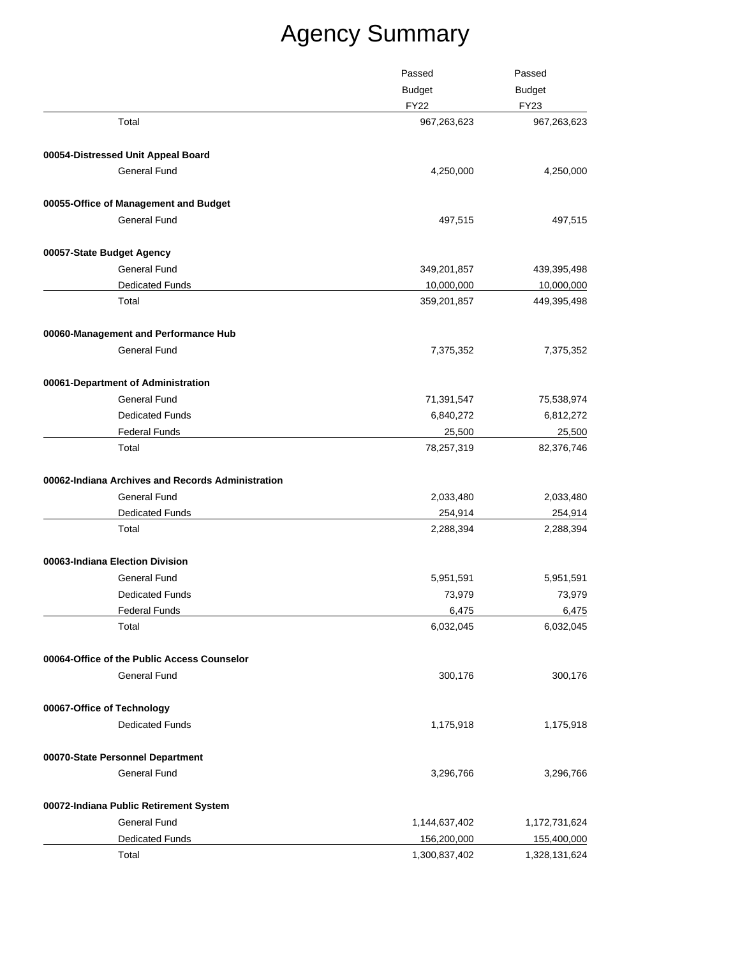|                                                   | Passed<br><b>Budget</b> | Passed<br><b>Budget</b><br><b>FY23</b> |
|---------------------------------------------------|-------------------------|----------------------------------------|
|                                                   |                         |                                        |
|                                                   | <b>FY22</b>             |                                        |
| Total                                             | 967,263,623             | 967,263,623                            |
| 00054-Distressed Unit Appeal Board                |                         |                                        |
| <b>General Fund</b>                               | 4,250,000               | 4,250,000                              |
| 00055-Office of Management and Budget             |                         |                                        |
| <b>General Fund</b>                               | 497,515                 | 497,515                                |
| 00057-State Budget Agency                         |                         |                                        |
| <b>General Fund</b>                               | 349,201,857             | 439,395,498                            |
| <b>Dedicated Funds</b>                            | 10,000,000              | 10,000,000                             |
| Total                                             | 359,201,857             | 449,395,498                            |
| 00060-Management and Performance Hub              |                         |                                        |
| <b>General Fund</b>                               | 7,375,352               | 7,375,352                              |
| 00061-Department of Administration                |                         |                                        |
| <b>General Fund</b>                               | 71,391,547              | 75,538,974                             |
| <b>Dedicated Funds</b>                            | 6,840,272               | 6,812,272                              |
| <b>Federal Funds</b>                              | 25,500                  | 25,500                                 |
| Total                                             | 78,257,319              | 82,376,746                             |
| 00062-Indiana Archives and Records Administration |                         |                                        |
| General Fund                                      | 2,033,480               | 2,033,480                              |
| <b>Dedicated Funds</b>                            | 254,914                 | 254,914                                |
| Total                                             | 2,288,394               | 2,288,394                              |
| 00063-Indiana Election Division                   |                         |                                        |
| General Fund                                      | 5,951,591               | 5,951,591                              |
| <b>Dedicated Funds</b>                            | 73,979                  | 73,979                                 |
| Federal Funds                                     | 6,475                   | 6,475                                  |
| Total                                             | 6,032,045               | 6,032,045                              |
| 00064-Office of the Public Access Counselor       |                         |                                        |
| <b>General Fund</b>                               | 300,176                 | 300,176                                |
| 00067-Office of Technology                        |                         |                                        |
| <b>Dedicated Funds</b>                            | 1,175,918               | 1,175,918                              |
| 00070-State Personnel Department                  |                         |                                        |
| <b>General Fund</b>                               | 3,296,766               | 3,296,766                              |
| 00072-Indiana Public Retirement System            |                         |                                        |
| <b>General Fund</b>                               | 1,144,637,402           | 1,172,731,624                          |
| Dedicated Funds                                   | 156,200,000             | 155,400,000                            |
| Total                                             | 1,300,837,402           | 1,328,131,624                          |
|                                                   |                         |                                        |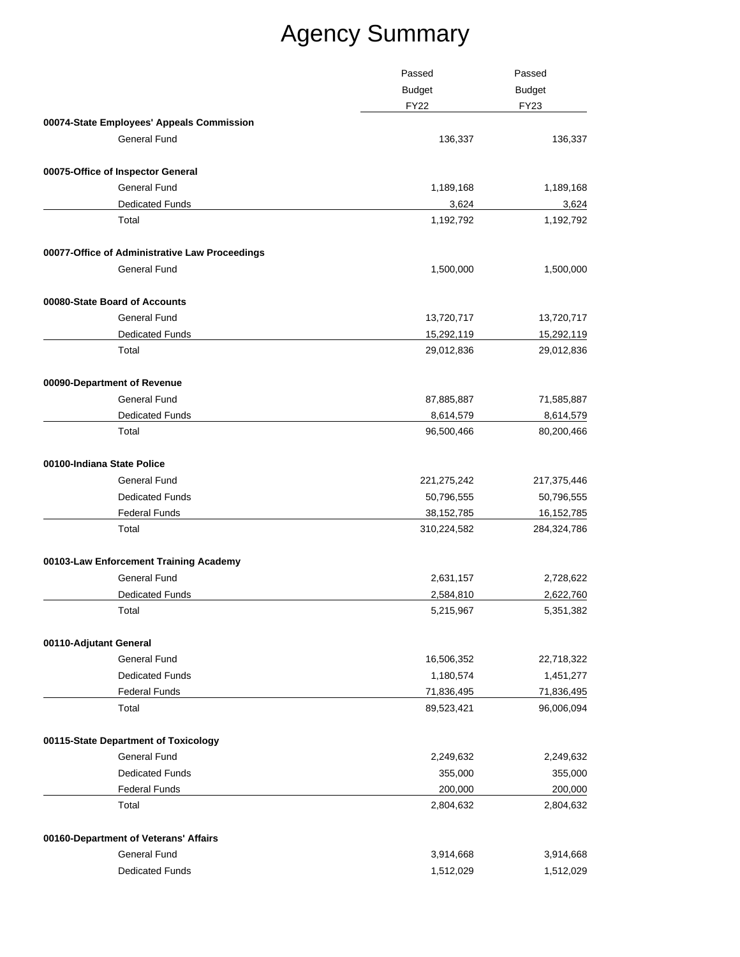|                                                | Passed        | Passed<br><b>Budget</b> |              |
|------------------------------------------------|---------------|-------------------------|--------------|
|                                                | <b>Budget</b> |                         |              |
|                                                |               | <b>FY22</b>             | <b>FY23</b>  |
| 00074-State Employees' Appeals Commission      |               |                         |              |
| General Fund                                   |               | 136,337                 | 136,337      |
| 00075-Office of Inspector General              |               |                         |              |
| <b>General Fund</b>                            |               | 1,189,168               | 1,189,168    |
| <b>Dedicated Funds</b>                         |               | 3,624                   | 3,624        |
| Total                                          |               | 1,192,792               | 1,192,792    |
| 00077-Office of Administrative Law Proceedings |               |                         |              |
| <b>General Fund</b>                            |               | 1,500,000               | 1,500,000    |
| 00080-State Board of Accounts                  |               |                         |              |
| <b>General Fund</b>                            |               | 13,720,717              | 13,720,717   |
| <b>Dedicated Funds</b>                         |               | 15,292,119              | 15,292,119   |
| Total                                          |               | 29,012,836              | 29,012,836   |
| 00090-Department of Revenue                    |               |                         |              |
| <b>General Fund</b>                            |               | 87,885,887              | 71,585,887   |
| <b>Dedicated Funds</b>                         |               | 8,614,579               | 8,614,579    |
| Total                                          |               | 96,500,466              | 80,200,466   |
| 00100-Indiana State Police                     |               |                         |              |
| <b>General Fund</b>                            |               | 221,275,242             | 217,375,446  |
| <b>Dedicated Funds</b>                         |               | 50,796,555              | 50,796,555   |
| <b>Federal Funds</b>                           |               | 38, 152, 785            | 16, 152, 785 |
| Total                                          |               | 310,224,582             | 284,324,786  |
| 00103-Law Enforcement Training Academy         |               |                         |              |
| <b>General Fund</b>                            |               | 2,631,157               | 2,728,622    |
| <b>Dedicated Funds</b>                         |               | 2,584,810               | 2,622,760    |
| Total                                          |               | 5,215,967               | 5,351,382    |
| 00110-Adjutant General                         |               |                         |              |
| <b>General Fund</b>                            |               | 16,506,352              | 22,718,322   |
| <b>Dedicated Funds</b>                         |               | 1,180,574               | 1,451,277    |
| <b>Federal Funds</b>                           |               | 71,836,495              | 71,836,495   |
| Total                                          |               | 89,523,421              | 96,006,094   |
| 00115-State Department of Toxicology           |               |                         |              |
| <b>General Fund</b>                            |               | 2,249,632               | 2,249,632    |
| <b>Dedicated Funds</b>                         |               | 355,000                 | 355,000      |
| <b>Federal Funds</b>                           |               | 200,000                 | 200,000      |
| Total                                          |               | 2,804,632               | 2,804,632    |
| 00160-Department of Veterans' Affairs          |               |                         |              |
| <b>General Fund</b>                            |               | 3,914,668               | 3,914,668    |
| <b>Dedicated Funds</b>                         |               | 1,512,029               | 1,512,029    |
|                                                |               |                         |              |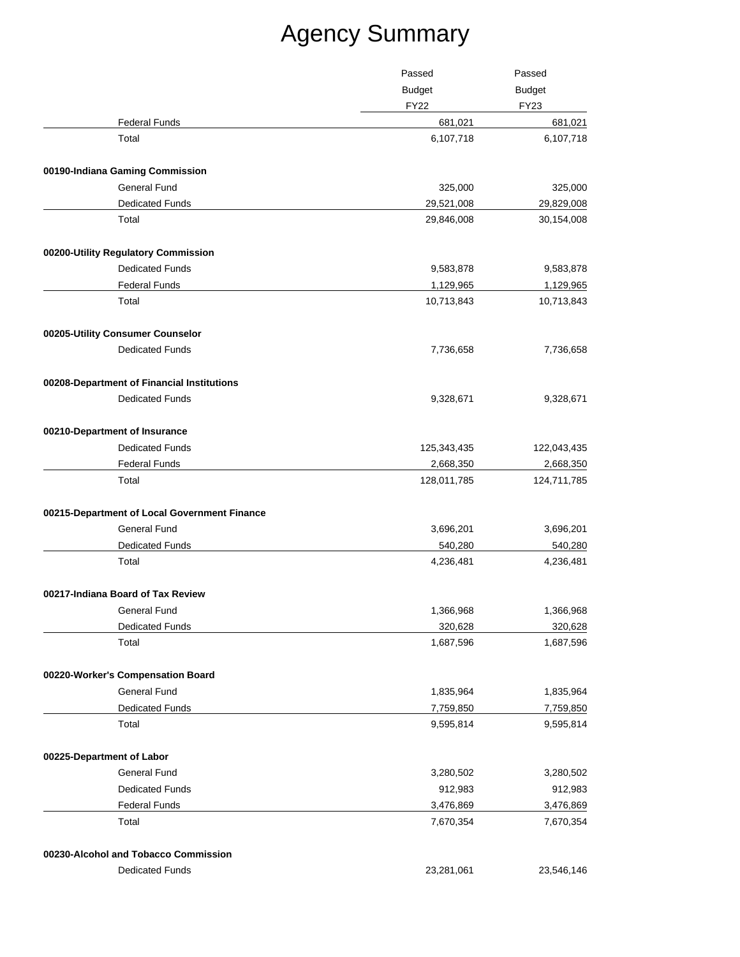|                                              | Passed                       | Passed                       |
|----------------------------------------------|------------------------------|------------------------------|
|                                              | <b>Budget</b><br><b>FY22</b> | <b>Budget</b><br><b>FY23</b> |
| <b>Federal Funds</b>                         | 681,021                      | 681,021                      |
| Total                                        | 6,107,718                    | 6,107,718                    |
| 00190-Indiana Gaming Commission              |                              |                              |
| <b>General Fund</b>                          | 325,000                      | 325,000                      |
| <b>Dedicated Funds</b>                       | 29,521,008                   | 29,829,008                   |
| Total                                        | 29,846,008                   | 30,154,008                   |
| 00200-Utility Regulatory Commission          |                              |                              |
| <b>Dedicated Funds</b>                       | 9,583,878                    | 9,583,878                    |
| <b>Federal Funds</b>                         | 1,129,965                    | 1,129,965                    |
| Total                                        | 10,713,843                   | 10,713,843                   |
| 00205-Utility Consumer Counselor             |                              |                              |
| <b>Dedicated Funds</b>                       | 7,736,658                    | 7,736,658                    |
| 00208-Department of Financial Institutions   |                              |                              |
| <b>Dedicated Funds</b>                       | 9,328,671                    | 9,328,671                    |
| 00210-Department of Insurance                |                              |                              |
| <b>Dedicated Funds</b>                       | 125,343,435                  | 122,043,435                  |
| <b>Federal Funds</b>                         | 2,668,350                    | 2,668,350                    |
| Total                                        | 128,011,785                  | 124,711,785                  |
| 00215-Department of Local Government Finance |                              |                              |
| <b>General Fund</b>                          | 3,696,201                    | 3,696,201                    |
| <b>Dedicated Funds</b>                       | 540,280                      | 540,280                      |
| Total                                        | 4,236,481                    | 4,236,481                    |
| 00217-Indiana Board of Tax Review            |                              |                              |
| General Fund                                 | 1,366,968                    | 1,366,968                    |
| <b>Dedicated Funds</b>                       | 320,628                      | 320,628                      |
| Total                                        | 1,687,596                    | 1,687,596                    |
| 00220-Worker's Compensation Board            |                              |                              |
| <b>General Fund</b>                          | 1,835,964                    | 1,835,964                    |
| <b>Dedicated Funds</b>                       | 7,759,850                    | 7,759,850                    |
| Total                                        | 9,595,814                    | 9,595,814                    |
| 00225-Department of Labor                    |                              |                              |
| <b>General Fund</b>                          | 3,280,502                    | 3,280,502                    |
| <b>Dedicated Funds</b>                       | 912,983                      | 912,983                      |
| <b>Federal Funds</b>                         | 3,476,869                    | 3,476,869                    |
| Total                                        | 7,670,354                    | 7,670,354                    |
| 00230-Alcohol and Tobacco Commission         |                              |                              |
| <b>Dedicated Funds</b>                       | 23,281,061                   | 23,546,146                   |
|                                              |                              |                              |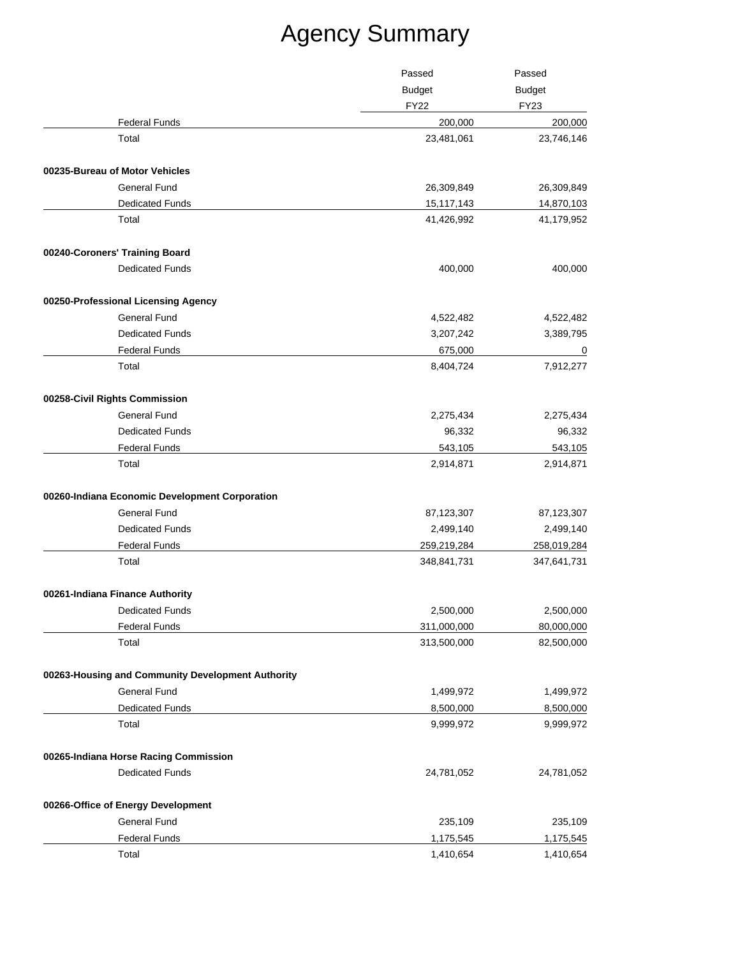| <b>Budget</b><br><b>Budget</b><br><b>FY22</b><br><b>FY23</b><br><b>Federal Funds</b><br>200,000<br>Total<br>23,481,061<br>00235-Bureau of Motor Vehicles<br><b>General Fund</b><br>26,309,849<br><b>Dedicated Funds</b><br>15,117,143<br>Total<br>41,426,992<br>00240-Coroners' Training Board<br><b>Dedicated Funds</b><br>400,000<br>00250-Professional Licensing Agency<br><b>General Fund</b><br>4,522,482<br><b>Dedicated Funds</b><br>3,207,242<br><b>Federal Funds</b><br>675,000<br>Total<br>8,404,724<br>00258-Civil Rights Commission<br>General Fund<br>2,275,434<br><b>Dedicated Funds</b><br>96,332<br><b>Federal Funds</b><br>543,105<br>Total<br>2,914,871<br>00260-Indiana Economic Development Corporation<br>General Fund<br>87,123,307<br><b>Dedicated Funds</b><br>2,499,140<br><b>Federal Funds</b><br>259,219,284<br>Total<br>348,841,731<br>00261-Indiana Finance Authority<br>2,500,000<br>Dedicated Funds<br><b>Federal Funds</b><br>311,000,000<br>313,500,000<br>Total |  | Passed | Passed                   |
|---------------------------------------------------------------------------------------------------------------------------------------------------------------------------------------------------------------------------------------------------------------------------------------------------------------------------------------------------------------------------------------------------------------------------------------------------------------------------------------------------------------------------------------------------------------------------------------------------------------------------------------------------------------------------------------------------------------------------------------------------------------------------------------------------------------------------------------------------------------------------------------------------------------------------------------------------------------------------------------------------|--|--------|--------------------------|
|                                                                                                                                                                                                                                                                                                                                                                                                                                                                                                                                                                                                                                                                                                                                                                                                                                                                                                                                                                                                   |  |        |                          |
|                                                                                                                                                                                                                                                                                                                                                                                                                                                                                                                                                                                                                                                                                                                                                                                                                                                                                                                                                                                                   |  |        |                          |
|                                                                                                                                                                                                                                                                                                                                                                                                                                                                                                                                                                                                                                                                                                                                                                                                                                                                                                                                                                                                   |  |        | 200,000                  |
|                                                                                                                                                                                                                                                                                                                                                                                                                                                                                                                                                                                                                                                                                                                                                                                                                                                                                                                                                                                                   |  |        | 23,746,146               |
|                                                                                                                                                                                                                                                                                                                                                                                                                                                                                                                                                                                                                                                                                                                                                                                                                                                                                                                                                                                                   |  |        |                          |
|                                                                                                                                                                                                                                                                                                                                                                                                                                                                                                                                                                                                                                                                                                                                                                                                                                                                                                                                                                                                   |  |        | 26,309,849               |
|                                                                                                                                                                                                                                                                                                                                                                                                                                                                                                                                                                                                                                                                                                                                                                                                                                                                                                                                                                                                   |  |        | 14,870,103               |
|                                                                                                                                                                                                                                                                                                                                                                                                                                                                                                                                                                                                                                                                                                                                                                                                                                                                                                                                                                                                   |  |        | 41,179,952               |
|                                                                                                                                                                                                                                                                                                                                                                                                                                                                                                                                                                                                                                                                                                                                                                                                                                                                                                                                                                                                   |  |        |                          |
|                                                                                                                                                                                                                                                                                                                                                                                                                                                                                                                                                                                                                                                                                                                                                                                                                                                                                                                                                                                                   |  |        | 400,000                  |
|                                                                                                                                                                                                                                                                                                                                                                                                                                                                                                                                                                                                                                                                                                                                                                                                                                                                                                                                                                                                   |  |        |                          |
|                                                                                                                                                                                                                                                                                                                                                                                                                                                                                                                                                                                                                                                                                                                                                                                                                                                                                                                                                                                                   |  |        | 4,522,482                |
|                                                                                                                                                                                                                                                                                                                                                                                                                                                                                                                                                                                                                                                                                                                                                                                                                                                                                                                                                                                                   |  |        | 3,389,795                |
|                                                                                                                                                                                                                                                                                                                                                                                                                                                                                                                                                                                                                                                                                                                                                                                                                                                                                                                                                                                                   |  |        | $\overline{\phantom{0}}$ |
|                                                                                                                                                                                                                                                                                                                                                                                                                                                                                                                                                                                                                                                                                                                                                                                                                                                                                                                                                                                                   |  |        | 7,912,277                |
|                                                                                                                                                                                                                                                                                                                                                                                                                                                                                                                                                                                                                                                                                                                                                                                                                                                                                                                                                                                                   |  |        |                          |
|                                                                                                                                                                                                                                                                                                                                                                                                                                                                                                                                                                                                                                                                                                                                                                                                                                                                                                                                                                                                   |  |        | 2,275,434                |
|                                                                                                                                                                                                                                                                                                                                                                                                                                                                                                                                                                                                                                                                                                                                                                                                                                                                                                                                                                                                   |  |        | 96,332                   |
|                                                                                                                                                                                                                                                                                                                                                                                                                                                                                                                                                                                                                                                                                                                                                                                                                                                                                                                                                                                                   |  |        | 543,105                  |
|                                                                                                                                                                                                                                                                                                                                                                                                                                                                                                                                                                                                                                                                                                                                                                                                                                                                                                                                                                                                   |  |        | 2,914,871                |
|                                                                                                                                                                                                                                                                                                                                                                                                                                                                                                                                                                                                                                                                                                                                                                                                                                                                                                                                                                                                   |  |        |                          |
|                                                                                                                                                                                                                                                                                                                                                                                                                                                                                                                                                                                                                                                                                                                                                                                                                                                                                                                                                                                                   |  |        | 87,123,307               |
|                                                                                                                                                                                                                                                                                                                                                                                                                                                                                                                                                                                                                                                                                                                                                                                                                                                                                                                                                                                                   |  |        | 2,499,140                |
|                                                                                                                                                                                                                                                                                                                                                                                                                                                                                                                                                                                                                                                                                                                                                                                                                                                                                                                                                                                                   |  |        | 258,019,284              |
|                                                                                                                                                                                                                                                                                                                                                                                                                                                                                                                                                                                                                                                                                                                                                                                                                                                                                                                                                                                                   |  |        | 347,641,731              |
|                                                                                                                                                                                                                                                                                                                                                                                                                                                                                                                                                                                                                                                                                                                                                                                                                                                                                                                                                                                                   |  |        |                          |
|                                                                                                                                                                                                                                                                                                                                                                                                                                                                                                                                                                                                                                                                                                                                                                                                                                                                                                                                                                                                   |  |        | 2,500,000                |
|                                                                                                                                                                                                                                                                                                                                                                                                                                                                                                                                                                                                                                                                                                                                                                                                                                                                                                                                                                                                   |  |        | 80,000,000               |
|                                                                                                                                                                                                                                                                                                                                                                                                                                                                                                                                                                                                                                                                                                                                                                                                                                                                                                                                                                                                   |  |        | 82,500,000               |
| 00263-Housing and Community Development Authority                                                                                                                                                                                                                                                                                                                                                                                                                                                                                                                                                                                                                                                                                                                                                                                                                                                                                                                                                 |  |        |                          |
| <b>General Fund</b><br>1,499,972                                                                                                                                                                                                                                                                                                                                                                                                                                                                                                                                                                                                                                                                                                                                                                                                                                                                                                                                                                  |  |        | 1,499,972                |
| <b>Dedicated Funds</b><br>8,500,000                                                                                                                                                                                                                                                                                                                                                                                                                                                                                                                                                                                                                                                                                                                                                                                                                                                                                                                                                               |  |        | 8,500,000                |
| Total<br>9,999,972                                                                                                                                                                                                                                                                                                                                                                                                                                                                                                                                                                                                                                                                                                                                                                                                                                                                                                                                                                                |  |        | 9,999,972                |
| 00265-Indiana Horse Racing Commission                                                                                                                                                                                                                                                                                                                                                                                                                                                                                                                                                                                                                                                                                                                                                                                                                                                                                                                                                             |  |        |                          |
| <b>Dedicated Funds</b><br>24,781,052                                                                                                                                                                                                                                                                                                                                                                                                                                                                                                                                                                                                                                                                                                                                                                                                                                                                                                                                                              |  |        | 24,781,052               |
| 00266-Office of Energy Development                                                                                                                                                                                                                                                                                                                                                                                                                                                                                                                                                                                                                                                                                                                                                                                                                                                                                                                                                                |  |        |                          |
| <b>General Fund</b><br>235,109                                                                                                                                                                                                                                                                                                                                                                                                                                                                                                                                                                                                                                                                                                                                                                                                                                                                                                                                                                    |  |        | 235,109                  |
| <b>Federal Funds</b><br>1,175,545                                                                                                                                                                                                                                                                                                                                                                                                                                                                                                                                                                                                                                                                                                                                                                                                                                                                                                                                                                 |  |        | 1,175,545                |
| Total<br>1,410,654                                                                                                                                                                                                                                                                                                                                                                                                                                                                                                                                                                                                                                                                                                                                                                                                                                                                                                                                                                                |  |        | 1,410,654                |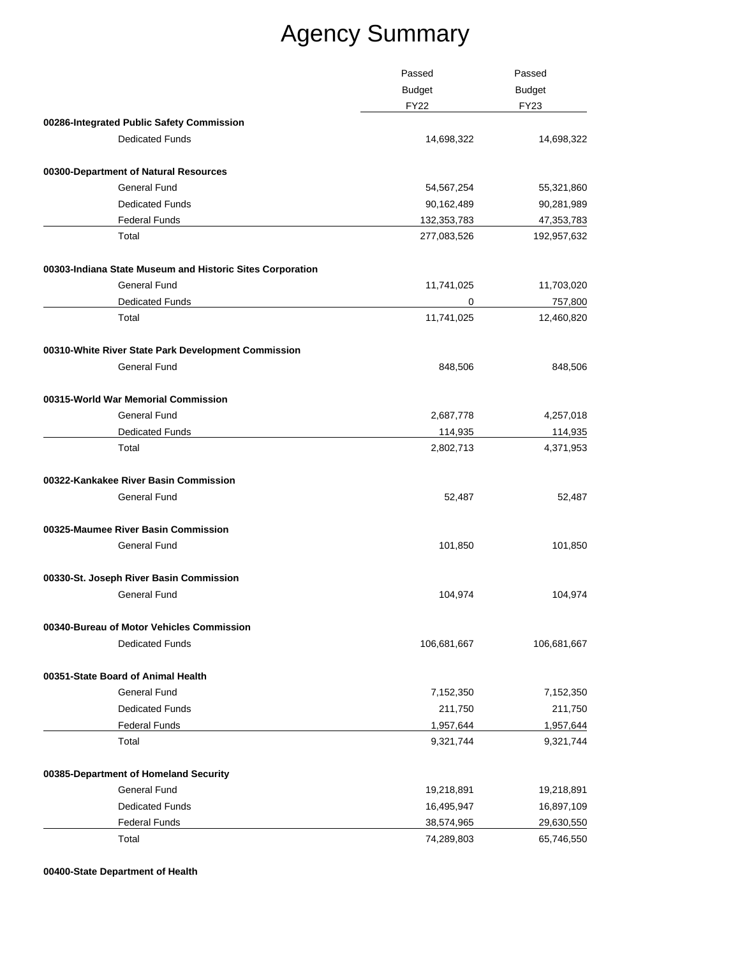|                                                           | Passed<br><b>Budget</b><br><b>FY22</b> | Passed                       |
|-----------------------------------------------------------|----------------------------------------|------------------------------|
|                                                           |                                        | <b>Budget</b><br><b>FY23</b> |
|                                                           |                                        |                              |
| 00286-Integrated Public Safety Commission                 |                                        |                              |
| <b>Dedicated Funds</b>                                    | 14,698,322                             | 14,698,322                   |
| 00300-Department of Natural Resources                     |                                        |                              |
| <b>General Fund</b>                                       | 54,567,254                             | 55,321,860                   |
| <b>Dedicated Funds</b>                                    | 90,162,489                             | 90,281,989                   |
| <b>Federal Funds</b>                                      | 132,353,783                            | 47, 353, 783                 |
| Total                                                     | 277,083,526                            | 192,957,632                  |
| 00303-Indiana State Museum and Historic Sites Corporation |                                        |                              |
| <b>General Fund</b>                                       | 11,741,025                             | 11,703,020                   |
| <b>Dedicated Funds</b>                                    | 0                                      | 757,800                      |
| Total                                                     | 11,741,025                             | 12,460,820                   |
| 00310-White River State Park Development Commission       |                                        |                              |
| General Fund                                              | 848,506                                | 848,506                      |
| 00315-World War Memorial Commission                       |                                        |                              |
| <b>General Fund</b>                                       | 2,687,778                              | 4,257,018                    |
| <b>Dedicated Funds</b>                                    | 114,935                                | 114,935                      |
| Total                                                     | 2,802,713                              | 4,371,953                    |
| 00322-Kankakee River Basin Commission                     |                                        |                              |
| <b>General Fund</b>                                       | 52,487                                 | 52,487                       |
| 00325-Maumee River Basin Commission                       |                                        |                              |
| <b>General Fund</b>                                       | 101,850                                | 101,850                      |
| 00330-St. Joseph River Basin Commission                   |                                        |                              |
| <b>General Fund</b>                                       | 104,974                                | 104,974                      |
| 00340-Bureau of Motor Vehicles Commission                 |                                        |                              |
| <b>Dedicated Funds</b>                                    | 106,681,667                            | 106,681,667                  |
| 00351-State Board of Animal Health                        |                                        |                              |
| <b>General Fund</b>                                       | 7,152,350                              | 7,152,350                    |
| <b>Dedicated Funds</b>                                    | 211,750                                | 211,750                      |
| <b>Federal Funds</b>                                      | 1,957,644                              | 1,957,644                    |
| Total                                                     | 9,321,744                              | 9,321,744                    |
| 00385-Department of Homeland Security                     |                                        |                              |
| <b>General Fund</b>                                       | 19,218,891                             | 19,218,891                   |
| <b>Dedicated Funds</b>                                    | 16,495,947                             | 16,897,109                   |
| <b>Federal Funds</b>                                      | 38,574,965                             | 29,630,550                   |
| Total                                                     | 74,289,803                             | 65,746,550                   |

**00400-State Department of Health**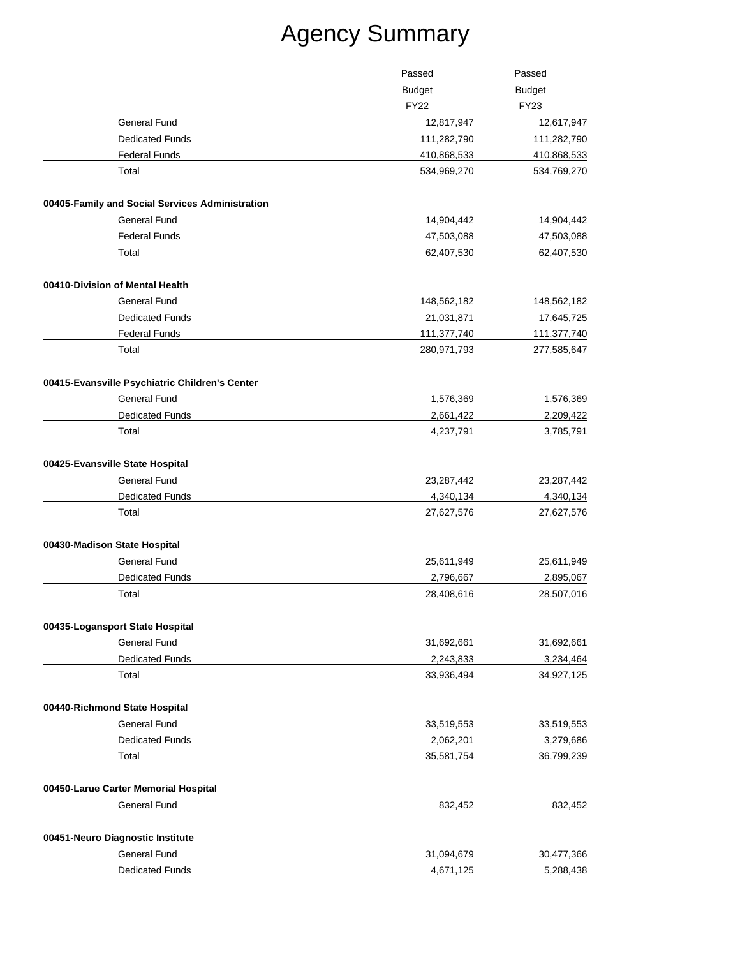|                                                 | Passed        | Passed<br><b>Budget</b><br><b>FY23</b> |
|-------------------------------------------------|---------------|----------------------------------------|
|                                                 | <b>Budget</b> |                                        |
|                                                 | <b>FY22</b>   |                                        |
| General Fund                                    | 12,817,947    | 12,617,947                             |
| <b>Dedicated Funds</b>                          | 111,282,790   | 111,282,790                            |
| <b>Federal Funds</b>                            | 410,868,533   | 410,868,533                            |
| Total                                           | 534,969,270   | 534,769,270                            |
| 00405-Family and Social Services Administration |               |                                        |
| <b>General Fund</b>                             | 14,904,442    | 14,904,442                             |
| <b>Federal Funds</b>                            | 47,503,088    | 47,503,088                             |
| Total                                           | 62,407,530    | 62,407,530                             |
| 00410-Division of Mental Health                 |               |                                        |
| General Fund                                    | 148,562,182   | 148,562,182                            |
| <b>Dedicated Funds</b>                          | 21,031,871    | 17,645,725                             |
| <b>Federal Funds</b>                            | 111,377,740   | 111,377,740                            |
| Total                                           | 280,971,793   | 277,585,647                            |
| 00415-Evansville Psychiatric Children's Center  |               |                                        |
| <b>General Fund</b>                             | 1,576,369     | 1,576,369                              |
| <b>Dedicated Funds</b>                          | 2,661,422     | 2,209,422                              |
| Total                                           | 4,237,791     | 3,785,791                              |
| 00425-Evansville State Hospital                 |               |                                        |
| <b>General Fund</b>                             | 23,287,442    | 23,287,442                             |
| <b>Dedicated Funds</b>                          | 4,340,134     | 4,340,134                              |
| Total                                           | 27,627,576    | 27,627,576                             |
| 00430-Madison State Hospital                    |               |                                        |
| General Fund                                    | 25,611,949    | 25,611,949                             |
| Dedicated Funds                                 | 2,796,667     | 2,895,067                              |
| Total                                           | 28,408,616    | 28,507,016                             |
| 00435-Logansport State Hospital                 |               |                                        |
| <b>General Fund</b>                             | 31,692,661    | 31,692,661                             |
| <b>Dedicated Funds</b>                          | 2,243,833     | 3,234,464                              |
| Total                                           | 33,936,494    | 34,927,125                             |
| 00440-Richmond State Hospital                   |               |                                        |
| <b>General Fund</b>                             | 33,519,553    | 33,519,553                             |
| <b>Dedicated Funds</b>                          | 2,062,201     | 3,279,686                              |
| Total                                           | 35,581,754    | 36,799,239                             |
| 00450-Larue Carter Memorial Hospital            |               |                                        |
| <b>General Fund</b>                             | 832,452       | 832,452                                |
| 00451-Neuro Diagnostic Institute                |               |                                        |
| <b>General Fund</b>                             | 31,094,679    | 30,477,366                             |
| <b>Dedicated Funds</b>                          | 4,671,125     | 5,288,438                              |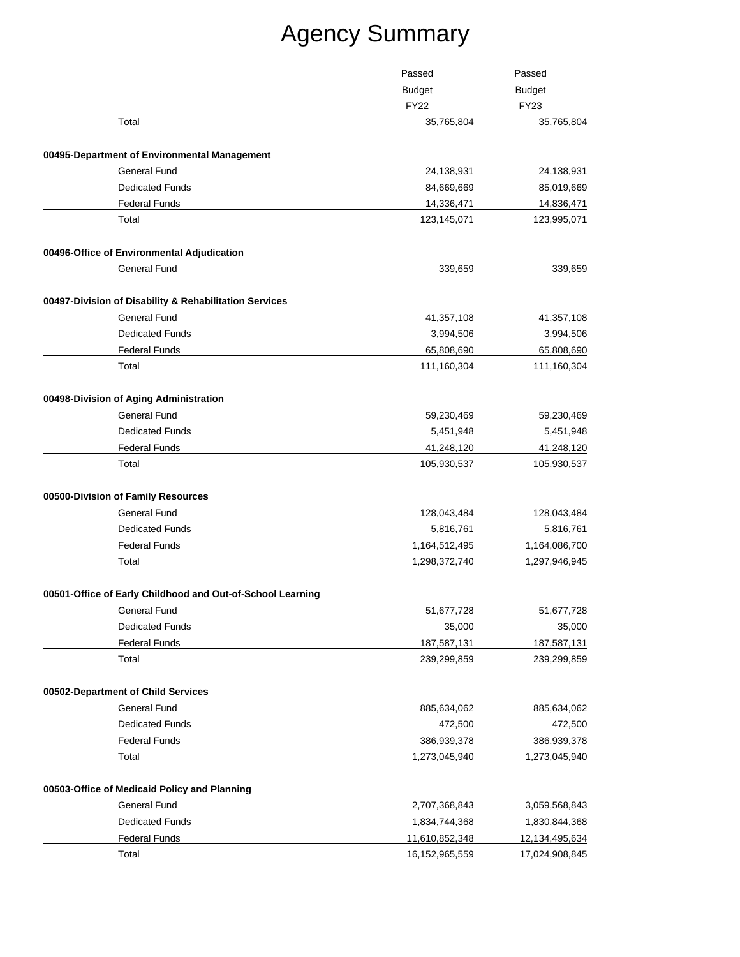|                                                            | Passed            | Passed                       |
|------------------------------------------------------------|-------------------|------------------------------|
|                                                            | <b>Budget</b>     | <b>Budget</b><br><b>FY23</b> |
|                                                            | <b>FY22</b>       |                              |
| Total                                                      | 35,765,804        | 35,765,804                   |
| 00495-Department of Environmental Management               |                   |                              |
| <b>General Fund</b>                                        | 24,138,931        | 24,138,931                   |
| <b>Dedicated Funds</b>                                     | 84,669,669        | 85,019,669                   |
| <b>Federal Funds</b>                                       | 14,336,471        | 14,836,471                   |
| Total                                                      | 123,145,071       | 123,995,071                  |
| 00496-Office of Environmental Adjudication                 |                   |                              |
| <b>General Fund</b>                                        | 339,659           | 339,659                      |
| 00497-Division of Disability & Rehabilitation Services     |                   |                              |
| <b>General Fund</b>                                        | 41,357,108        | 41,357,108                   |
| <b>Dedicated Funds</b>                                     | 3,994,506         | 3,994,506                    |
| <b>Federal Funds</b>                                       | 65,808,690        | 65,808,690                   |
| Total                                                      | 111,160,304       | 111,160,304                  |
| 00498-Division of Aging Administration                     |                   |                              |
| <b>General Fund</b>                                        | 59,230,469        | 59,230,469                   |
| <b>Dedicated Funds</b>                                     | 5,451,948         | 5,451,948                    |
| <b>Federal Funds</b>                                       | 41,248,120        | 41,248,120                   |
| Total                                                      | 105,930,537       | 105,930,537                  |
| 00500-Division of Family Resources                         |                   |                              |
| <b>General Fund</b>                                        | 128,043,484       | 128,043,484                  |
| <b>Dedicated Funds</b>                                     | 5,816,761         | 5,816,761                    |
| <b>Federal Funds</b>                                       | 1,164,512,495     | 1,164,086,700                |
| Total                                                      | 1,298,372,740     | 1,297,946,945                |
| 00501-Office of Early Childhood and Out-of-School Learning |                   |                              |
| General Fund                                               | 51,677,728        | 51,677,728                   |
| <b>Dedicated Funds</b>                                     | 35,000            | 35,000                       |
| <b>Federal Funds</b>                                       | 187,587,131       | 187,587,131                  |
| Total                                                      | 239,299,859       | 239,299,859                  |
| 00502-Department of Child Services                         |                   |                              |
| General Fund                                               | 885,634,062       | 885,634,062                  |
| <b>Dedicated Funds</b>                                     | 472,500           | 472,500                      |
| <b>Federal Funds</b>                                       | 386,939,378       | 386,939,378                  |
| Total                                                      | 1,273,045,940     | 1,273,045,940                |
| 00503-Office of Medicaid Policy and Planning               |                   |                              |
| <b>General Fund</b>                                        | 2,707,368,843     | 3,059,568,843                |
| <b>Dedicated Funds</b>                                     | 1,834,744,368     | 1,830,844,368                |
| <b>Federal Funds</b>                                       | 11,610,852,348    | 12, 134, 495, 634            |
| Total                                                      | 16, 152, 965, 559 | 17,024,908,845               |
|                                                            |                   |                              |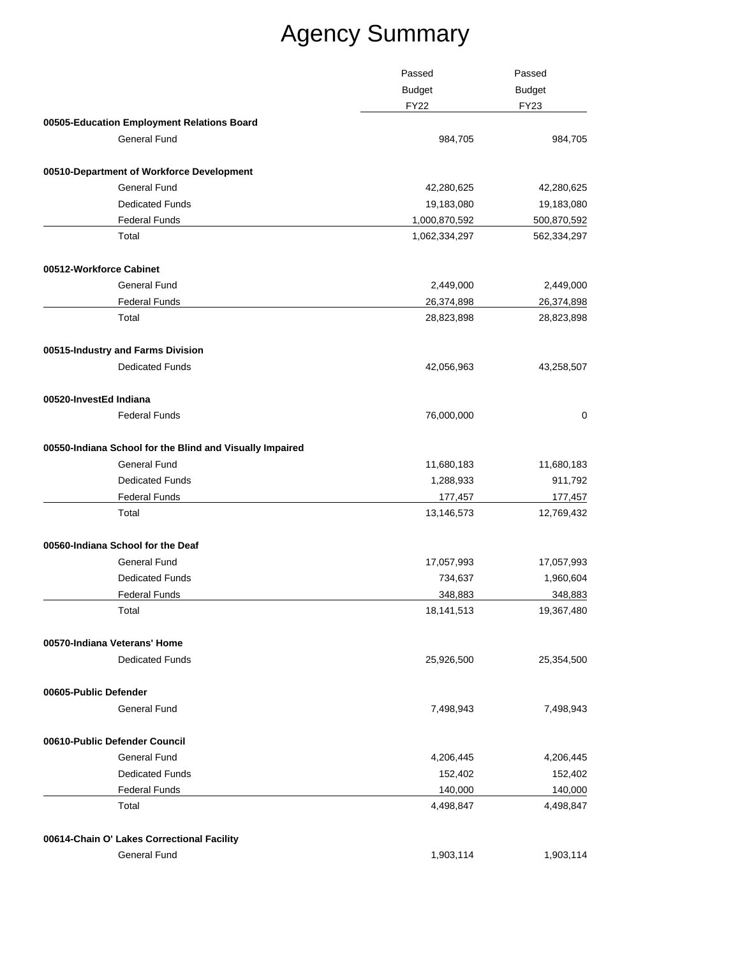| Passed<br><b>Budget</b>                                  |               | Passed      |  |
|----------------------------------------------------------|---------------|-------------|--|
|                                                          | <b>Budget</b> |             |  |
|                                                          | <b>FY22</b>   | <b>FY23</b> |  |
| 00505-Education Employment Relations Board               |               |             |  |
| <b>General Fund</b>                                      | 984,705       | 984,705     |  |
| 00510-Department of Workforce Development                |               |             |  |
| <b>General Fund</b>                                      | 42,280,625    | 42,280,625  |  |
| <b>Dedicated Funds</b>                                   | 19,183,080    | 19,183,080  |  |
| <b>Federal Funds</b>                                     | 1,000,870,592 | 500,870,592 |  |
| Total                                                    | 1,062,334,297 | 562,334,297 |  |
| 00512-Workforce Cabinet                                  |               |             |  |
| <b>General Fund</b>                                      | 2,449,000     | 2,449,000   |  |
| <b>Federal Funds</b>                                     | 26,374,898    | 26,374,898  |  |
| Total                                                    | 28,823,898    | 28,823,898  |  |
| 00515-Industry and Farms Division                        |               |             |  |
| <b>Dedicated Funds</b>                                   | 42,056,963    | 43,258,507  |  |
| 00520-InvestEd Indiana                                   |               |             |  |
| <b>Federal Funds</b>                                     | 76,000,000    | 0           |  |
| 00550-Indiana School for the Blind and Visually Impaired |               |             |  |
| <b>General Fund</b>                                      | 11,680,183    | 11,680,183  |  |
| <b>Dedicated Funds</b>                                   | 1,288,933     | 911,792     |  |
| <b>Federal Funds</b>                                     | 177,457       | 177,457     |  |
| Total                                                    | 13,146,573    | 12,769,432  |  |
| 00560-Indiana School for the Deaf                        |               |             |  |
| <b>General Fund</b>                                      | 17,057,993    | 17,057,993  |  |
| <b>Dedicated Funds</b>                                   | 734,637       | 1,960,604   |  |
| <b>Federal Funds</b>                                     | 348,883       | 348,883     |  |
| Total                                                    | 18,141,513    | 19,367,480  |  |
| 00570-Indiana Veterans' Home                             |               |             |  |
| <b>Dedicated Funds</b>                                   | 25,926,500    | 25,354,500  |  |
| 00605-Public Defender                                    |               |             |  |
| <b>General Fund</b>                                      | 7,498,943     | 7,498,943   |  |
| 00610-Public Defender Council                            |               |             |  |
| <b>General Fund</b>                                      | 4,206,445     | 4,206,445   |  |
| <b>Dedicated Funds</b>                                   | 152,402       | 152,402     |  |
| <b>Federal Funds</b>                                     | 140,000       | 140,000     |  |
| Total                                                    | 4,498,847     | 4,498,847   |  |
| 00614-Chain O' Lakes Correctional Facility               |               |             |  |
| <b>General Fund</b>                                      | 1,903,114     | 1,903,114   |  |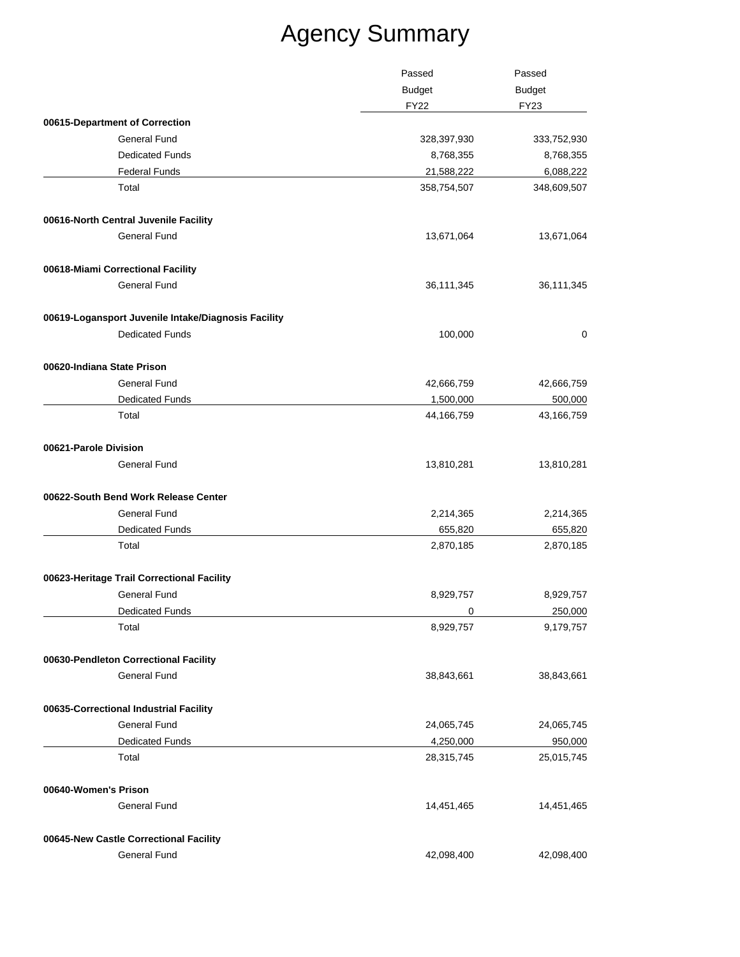|                                                     | Passed<br><b>Budget</b> | Passed                       |  |
|-----------------------------------------------------|-------------------------|------------------------------|--|
|                                                     |                         | <b>Budget</b><br><b>FY23</b> |  |
|                                                     | <b>FY22</b>             |                              |  |
| 00615-Department of Correction                      |                         |                              |  |
| <b>General Fund</b>                                 | 328,397,930             | 333,752,930                  |  |
| <b>Dedicated Funds</b>                              | 8,768,355               | 8,768,355                    |  |
| <b>Federal Funds</b>                                | 21,588,222              | 6,088,222                    |  |
| Total                                               | 358,754,507             | 348,609,507                  |  |
| 00616-North Central Juvenile Facility               |                         |                              |  |
| General Fund                                        | 13,671,064              | 13,671,064                   |  |
| 00618-Miami Correctional Facility                   |                         |                              |  |
| <b>General Fund</b>                                 | 36,111,345              | 36,111,345                   |  |
| 00619-Logansport Juvenile Intake/Diagnosis Facility |                         |                              |  |
| <b>Dedicated Funds</b>                              | 100,000                 | 0                            |  |
| 00620-Indiana State Prison                          |                         |                              |  |
| <b>General Fund</b>                                 | 42,666,759              | 42,666,759                   |  |
| <b>Dedicated Funds</b>                              | 1,500,000               | 500,000                      |  |
| Total                                               | 44,166,759              | 43,166,759                   |  |
| 00621-Parole Division                               |                         |                              |  |
| <b>General Fund</b>                                 | 13,810,281              | 13,810,281                   |  |
| 00622-South Bend Work Release Center                |                         |                              |  |
| <b>General Fund</b>                                 | 2,214,365               | 2,214,365                    |  |
| <b>Dedicated Funds</b>                              | 655,820                 | 655,820                      |  |
| Total                                               | 2,870,185               | 2,870,185                    |  |
| 00623-Heritage Trail Correctional Facility          |                         |                              |  |
| <b>General Fund</b>                                 | 8,929,757               | 8,929,757                    |  |
| <b>Dedicated Funds</b>                              | $\Omega$                | 250,000                      |  |
| Total                                               | 8,929,757               | 9,179,757                    |  |
| 00630-Pendleton Correctional Facility               |                         |                              |  |
| <b>General Fund</b>                                 | 38,843,661              | 38,843,661                   |  |
| 00635-Correctional Industrial Facility              |                         |                              |  |
| <b>General Fund</b>                                 | 24,065,745              | 24,065,745                   |  |
| <b>Dedicated Funds</b>                              | 4,250,000               | 950,000                      |  |
| Total                                               | 28,315,745              | 25,015,745                   |  |
| 00640-Women's Prison                                |                         |                              |  |
| <b>General Fund</b>                                 | 14,451,465              | 14,451,465                   |  |
| 00645-New Castle Correctional Facility              |                         |                              |  |
| <b>General Fund</b>                                 | 42,098,400              | 42,098,400                   |  |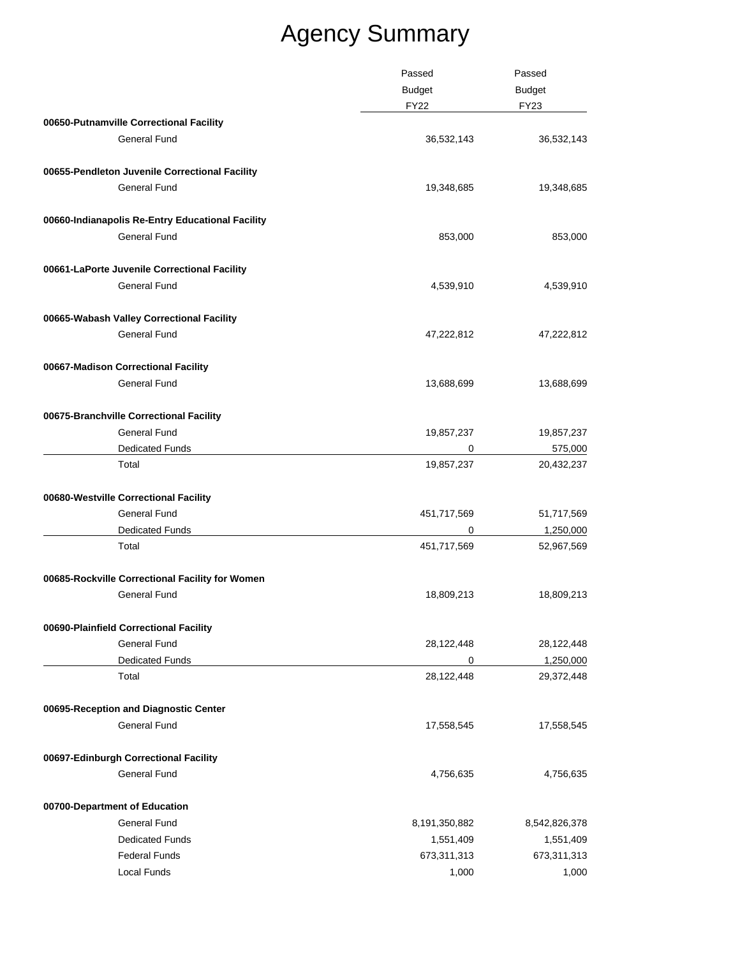|                                                  | Passed        | Passed        |
|--------------------------------------------------|---------------|---------------|
|                                                  | <b>Budget</b> | <b>Budget</b> |
|                                                  | <b>FY22</b>   | <b>FY23</b>   |
| 00650-Putnamville Correctional Facility          |               |               |
| <b>General Fund</b>                              | 36,532,143    | 36,532,143    |
| 00655-Pendleton Juvenile Correctional Facility   |               |               |
| <b>General Fund</b>                              | 19,348,685    | 19,348,685    |
| 00660-Indianapolis Re-Entry Educational Facility |               |               |
| <b>General Fund</b>                              | 853,000       | 853,000       |
| 00661-LaPorte Juvenile Correctional Facility     |               |               |
| <b>General Fund</b>                              | 4,539,910     | 4,539,910     |
| 00665-Wabash Valley Correctional Facility        |               |               |
| <b>General Fund</b>                              | 47,222,812    | 47,222,812    |
| 00667-Madison Correctional Facility              |               |               |
| <b>General Fund</b>                              | 13,688,699    | 13,688,699    |
| 00675-Branchville Correctional Facility          |               |               |
| <b>General Fund</b>                              | 19,857,237    | 19,857,237    |
| <b>Dedicated Funds</b>                           | 0             | 575,000       |
| Total                                            | 19,857,237    | 20,432,237    |
| 00680-Westville Correctional Facility            |               |               |
| <b>General Fund</b>                              | 451,717,569   | 51,717,569    |
| <b>Dedicated Funds</b>                           | 0             | 1,250,000     |
| Total                                            | 451,717,569   | 52,967,569    |
| 00685-Rockville Correctional Facility for Women  |               |               |
| General Fund                                     | 18,809,213    | 18,809,213    |
| 00690-Plainfield Correctional Facility           |               |               |
| <b>General Fund</b>                              | 28,122,448    | 28,122,448    |
| <b>Dedicated Funds</b>                           | 0             | 1,250,000     |
| Total                                            | 28,122,448    | 29,372,448    |
| 00695-Reception and Diagnostic Center            |               |               |
| <b>General Fund</b>                              | 17,558,545    | 17,558,545    |
| 00697-Edinburgh Correctional Facility            |               |               |
| <b>General Fund</b>                              | 4,756,635     | 4,756,635     |
| 00700-Department of Education                    |               |               |
| <b>General Fund</b>                              | 8,191,350,882 | 8,542,826,378 |
| <b>Dedicated Funds</b>                           | 1,551,409     | 1,551,409     |
| <b>Federal Funds</b>                             | 673,311,313   | 673,311,313   |
| Local Funds                                      | 1,000         | 1,000         |
|                                                  |               |               |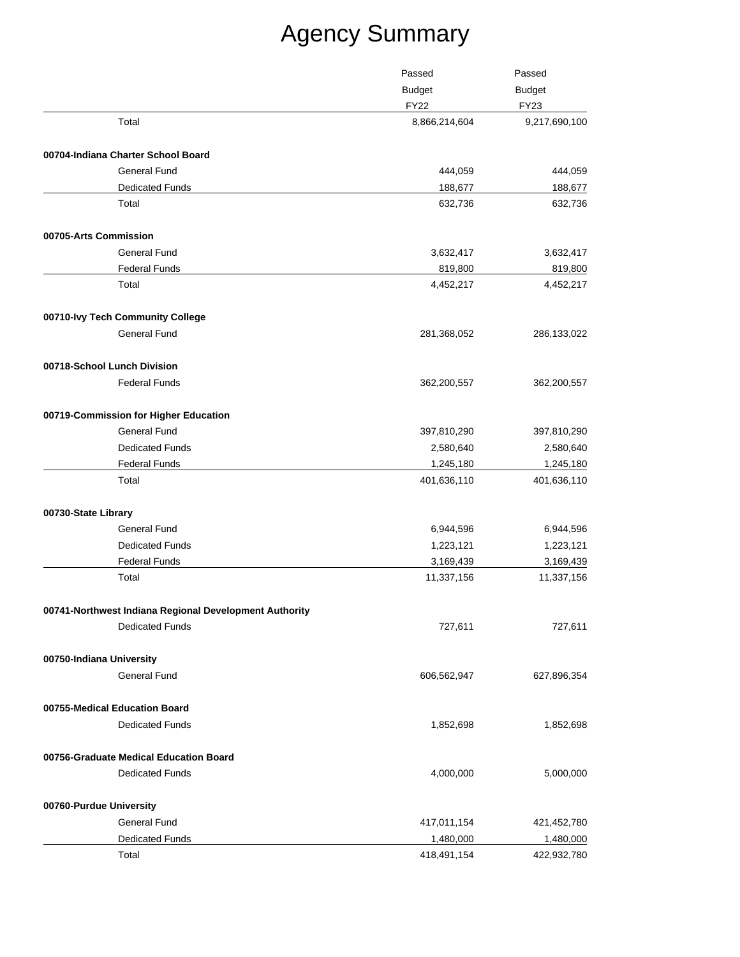|                                                        | Passed<br><b>Budget</b> | Passed<br><b>Budget</b><br><b>FY23</b> |
|--------------------------------------------------------|-------------------------|----------------------------------------|
|                                                        |                         |                                        |
|                                                        | <b>FY22</b>             |                                        |
| Total                                                  | 8,866,214,604           | 9,217,690,100                          |
| 00704-Indiana Charter School Board                     |                         |                                        |
| <b>General Fund</b>                                    | 444,059                 | 444,059                                |
| <b>Dedicated Funds</b>                                 | 188,677                 | 188,677                                |
| Total                                                  | 632,736                 | 632,736                                |
| 00705-Arts Commission                                  |                         |                                        |
| <b>General Fund</b>                                    | 3,632,417               | 3,632,417                              |
| <b>Federal Funds</b>                                   | 819,800                 | 819,800                                |
| Total                                                  | 4,452,217               | 4,452,217                              |
| 00710-lvy Tech Community College                       |                         |                                        |
| <b>General Fund</b>                                    | 281,368,052             | 286,133,022                            |
| 00718-School Lunch Division                            |                         |                                        |
| <b>Federal Funds</b>                                   | 362,200,557             | 362,200,557                            |
| 00719-Commission for Higher Education                  |                         |                                        |
| <b>General Fund</b>                                    | 397,810,290             | 397,810,290                            |
| <b>Dedicated Funds</b>                                 | 2,580,640               | 2,580,640                              |
| <b>Federal Funds</b>                                   | 1,245,180               | 1,245,180                              |
| Total                                                  | 401,636,110             | 401,636,110                            |
| 00730-State Library                                    |                         |                                        |
| <b>General Fund</b>                                    | 6,944,596               | 6,944,596                              |
| <b>Dedicated Funds</b>                                 | 1,223,121               | 1,223,121                              |
| <b>Federal Funds</b>                                   | 3,169,439               | 3,169,439                              |
| Total                                                  | 11,337,156              | 11,337,156                             |
| 00741-Northwest Indiana Regional Development Authority |                         |                                        |
| <b>Dedicated Funds</b>                                 | 727,611                 | 727,611                                |
| 00750-Indiana University                               |                         |                                        |
| <b>General Fund</b>                                    | 606,562,947             | 627,896,354                            |
| 00755-Medical Education Board                          |                         |                                        |
| <b>Dedicated Funds</b>                                 | 1,852,698               | 1,852,698                              |
|                                                        |                         |                                        |
| <b>Dedicated Funds</b>                                 | 4,000,000               | 5,000,000                              |
| 00760-Purdue University                                |                         |                                        |
| <b>General Fund</b>                                    | 417,011,154             | 421,452,780                            |
| Dedicated Funds                                        | 1,480,000               | 1,480,000                              |
| Total                                                  | 418,491,154             | 422,932,780                            |
| 00756-Graduate Medical Education Board                 |                         |                                        |